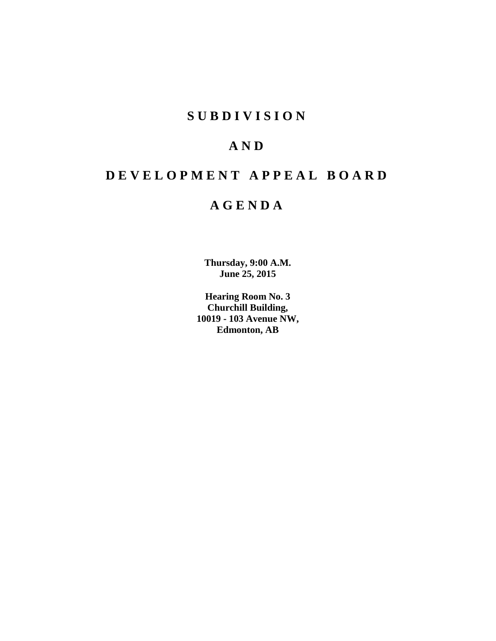## **SUBDIVISION**

# **AND**

# **DEVELOPMENT APPEAL BOARD**

# **AGENDA**

**Thursday, 9:00 A.M. June 25, 2015**

**Hearing Room No. 3 Churchill Building, 10019 - 103 Avenue NW, Edmonton, AB**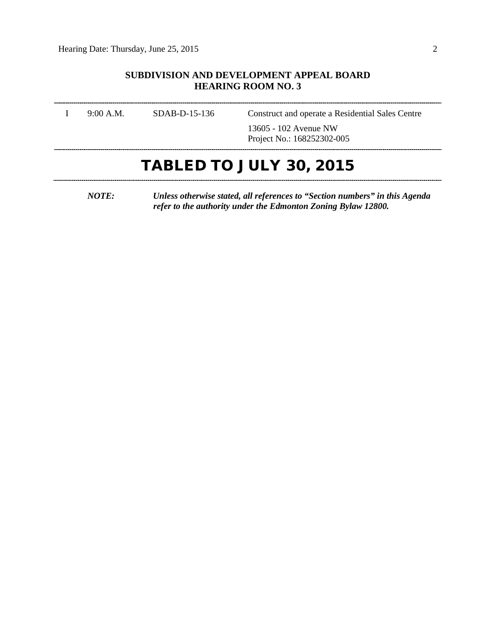### **SUBDIVISION AND DEVELOPMENT APPEAL BOARD HEARING ROOM NO. 3**

|           |                 | <b>TABLED TO JULY 30, 2015</b>                      |
|-----------|-----------------|-----------------------------------------------------|
|           |                 | 13605 - 102 Avenue NW<br>Project No.: 168252302-005 |
| 9:00 A.M. | $SDAB-D-15-136$ | Construct and operate a Residential Sales Centre    |

*NOTE: Unless otherwise stated, all references to "Section numbers" in this Agenda refer to the authority under the Edmonton Zoning Bylaw 12800.*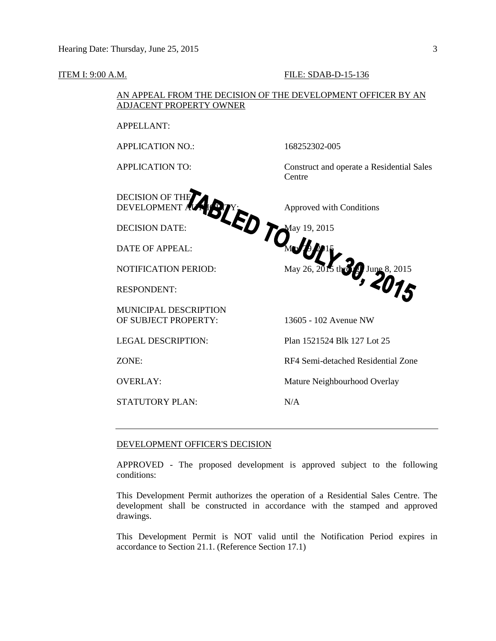#### **ITEM I: 9:00 A.M. FILE: SDAB-D-15-136**

### AN APPEAL FROM THE DECISION OF THE DEVELOPMENT OFFICER BY AN ADJACENT PROPERTY OWNER

APPELLANT:

APPLICATION NO.: 168252302-005

DECISION OF THE DEVELOPMENT AUTHORITY: Approved with Conditions

DATE OF APPEAL:  $M_{\nu}$  29.15

RESPONDENT:

MUNICIPAL DESCRIPTION OF SUBJECT PROPERTY: 13605 - 102 Avenue NW

STATUTORY PLAN: N/A

APPLICATION TO: Construct and operate a Residential Sales Centre

DECISION DATE: May 19, 2015 NOTIFICATION PERIOD:  $\text{May } 26, 2015 \text{ thr3 } f$  June 8, 2015

LEGAL DESCRIPTION: Plan 1521524 Blk 127 Lot 25

ZONE: RF4 Semi-detached Residential Zone

OVERLAY: Mature Neighbourhood Overlay

#### DEVELOPMENT OFFICER'S DECISION

APPROVED - The proposed development is approved subject to the following conditions:

This Development Permit authorizes the operation of a Residential Sales Centre. The development shall be constructed in accordance with the stamped and approved drawings.

This Development Permit is NOT valid until the Notification Period expires in accordance to Section 21.1. (Reference Section 17.1)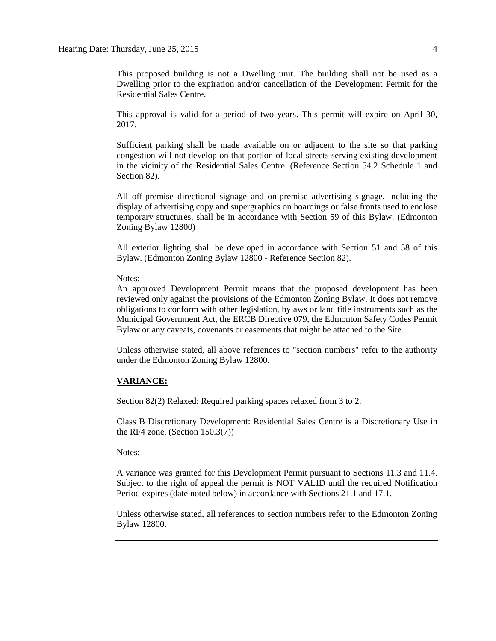This proposed building is not a Dwelling unit. The building shall not be used as a Dwelling prior to the expiration and/or cancellation of the Development Permit for the Residential Sales Centre.

This approval is valid for a period of two years. This permit will expire on April 30, 2017.

Sufficient parking shall be made available on or adjacent to the site so that parking congestion will not develop on that portion of local streets serving existing development in the vicinity of the Residential Sales Centre. (Reference Section 54.2 Schedule 1 and Section 82).

All off-premise directional signage and on-premise advertising signage, including the display of advertising copy and supergraphics on hoardings or false fronts used to enclose temporary structures, shall be in accordance with Section 59 of this Bylaw. (Edmonton Zoning Bylaw 12800)

All exterior lighting shall be developed in accordance with Section 51 and 58 of this Bylaw. (Edmonton Zoning Bylaw 12800 - Reference Section 82).

Notes:

An approved Development Permit means that the proposed development has been reviewed only against the provisions of the Edmonton Zoning Bylaw. It does not remove obligations to conform with other legislation, bylaws or land title instruments such as the Municipal Government Act, the ERCB Directive 079, the Edmonton Safety Codes Permit Bylaw or any caveats, covenants or easements that might be attached to the Site.

Unless otherwise stated, all above references to "section numbers" refer to the authority under the Edmonton Zoning Bylaw 12800.

#### **VARIANCE:**

Section 82(2) Relaxed: Required parking spaces relaxed from 3 to 2.

Class B Discretionary Development: Residential Sales Centre is a Discretionary Use in the RF4 zone. (Section 150.3(7))

Notes:

A variance was granted for this Development Permit pursuant to Sections 11.3 and 11.4. Subject to the right of appeal the permit is NOT VALID until the required Notification Period expires (date noted below) in accordance with Sections 21.1 and 17.1.

Unless otherwise stated, all references to section numbers refer to the Edmonton Zoning Bylaw 12800.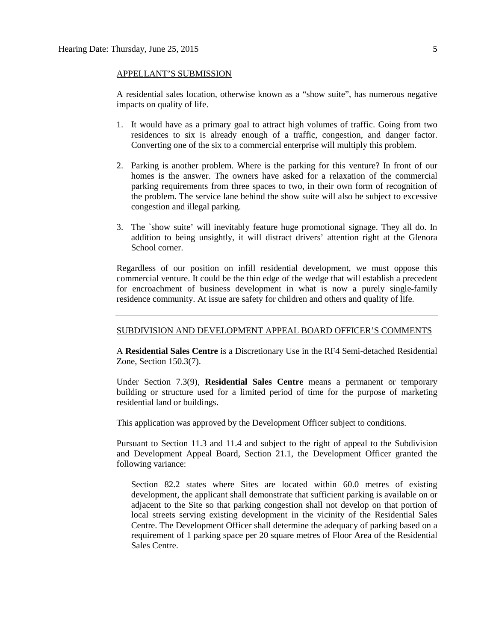#### APPELLANT'S SUBMISSION

A residential sales location, otherwise known as a "show suite", has numerous negative impacts on quality of life.

- 1. It would have as a primary goal to attract high volumes of traffic. Going from two residences to six is already enough of a traffic, congestion, and danger factor. Converting one of the six to a commercial enterprise will multiply this problem.
- 2. Parking is another problem. Where is the parking for this venture? In front of our homes is the answer. The owners have asked for a relaxation of the commercial parking requirements from three spaces to two, in their own form of recognition of the problem. The service lane behind the show suite will also be subject to excessive congestion and illegal parking.
- 3. The `show suite' will inevitably feature huge promotional signage. They all do. In addition to being unsightly, it will distract drivers' attention right at the Glenora School corner.

Regardless of our position on infill residential development, we must oppose this commercial venture. It could be the thin edge of the wedge that will establish a precedent for encroachment of business development in what is now a purely single-family residence community. At issue are safety for children and others and quality of life.

### SUBDIVISION AND DEVELOPMENT APPEAL BOARD OFFICER'S COMMENTS

A **Residential Sales Centre** is a Discretionary Use in the RF4 Semi-detached Residential Zone, Section 150.3(7).

Under Section 7.3(9), **Residential Sales Centre** means a permanent or temporary building or structure used for a limited period of time for the purpose of marketing residential land or buildings.

This application was approved by the Development Officer subject to conditions.

Pursuant to Section 11.3 and 11.4 and subject to the right of appeal to the Subdivision and Development Appeal Board, Section 21.1, the Development Officer granted the following variance:

Section 82.2 states where Sites are located within 60.0 metres of existing development, the applicant shall demonstrate that sufficient parking is available on or adjacent to the Site so that parking congestion shall not develop on that portion of local streets serving existing development in the vicinity of the Residential Sales Centre. The Development Officer shall determine the adequacy of parking based on a requirement of 1 parking space per 20 square metres of Floor Area of the Residential Sales Centre.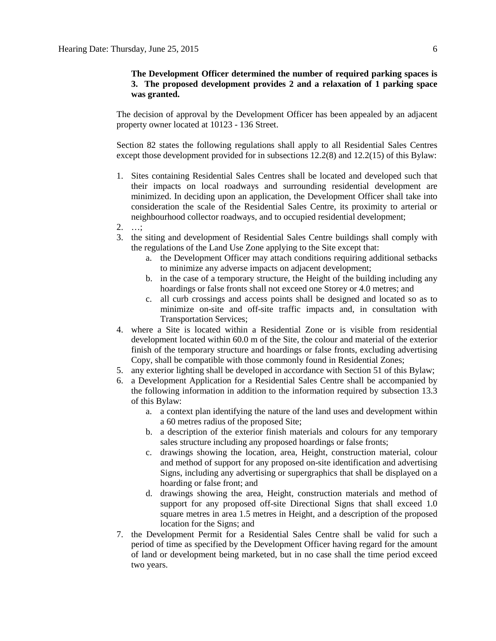### **The Development Officer determined the number of required parking spaces is 3. The proposed development provides 2 and a relaxation of 1 parking space was granted.**

The decision of approval by the Development Officer has been appealed by an adjacent property owner located at 10123 - 136 Street.

Section 82 states the following regulations shall apply to all Residential Sales Centres except those development provided for in subsections 12.2(8) and 12.2(15) of this Bylaw:

- 1. Sites containing Residential Sales Centres shall be located and developed such that their impacts on local roadways and surrounding residential development are minimized. In deciding upon an application, the Development Officer shall take into consideration the scale of the Residential Sales Centre, its proximity to arterial or neighbourhood collector roadways, and to occupied residential development;
- 2. …;
- 3. the siting and development of Residential Sales Centre buildings shall comply with the regulations of the Land Use Zone applying to the Site except that:
	- a. the Development Officer may attach conditions requiring additional setbacks to minimize any adverse impacts on adjacent development;
	- b. in the case of a temporary structure, the Height of the building including any hoardings or false fronts shall not exceed one Storey or 4.0 metres; and
	- c. all curb crossings and access points shall be designed and located so as to minimize on-site and off-site traffic impacts and, in consultation with Transportation Services;
- 4. where a Site is located within a Residential Zone or is visible from residential development located within 60.0 m of the Site, the colour and material of the exterior finish of the temporary structure and hoardings or false fronts, excluding advertising Copy, shall be compatible with those commonly found in Residential Zones;
- 5. any exterior lighting shall be developed in accordance with [Section 51](javascript:void(0);) of this Bylaw;
- 6. a Development Application for a Residential Sales Centre shall be accompanied by the following information in addition to the information required by [subsection 13.3](http://webdocs.edmonton.ca/InfraPlan/zoningbylaw/ZoningBylaw/Part1/Administrative/13__Development_Application_Submissions.htm) of this Bylaw:
	- a. a context plan identifying the nature of the land uses and development within a 60 metres radius of the proposed Site;
	- b. a description of the exterior finish materials and colours for any temporary sales structure including any proposed hoardings or false fronts;
	- c. drawings showing the location, area, Height, construction material, colour and method of support for any proposed on-site identification and advertising Signs, including any advertising or supergraphics that shall be displayed on a hoarding or false front; and
	- d. drawings showing the area, Height, construction materials and method of support for any proposed off-site Directional Signs that shall exceed 1.0 square metres in area 1.5 metres in Height, and a description of the proposed location for the Signs; and
- 7. the Development Permit for a Residential Sales Centre shall be valid for such a period of time as specified by the Development Officer having regard for the amount of land or development being marketed, but in no case shall the time period exceed two years.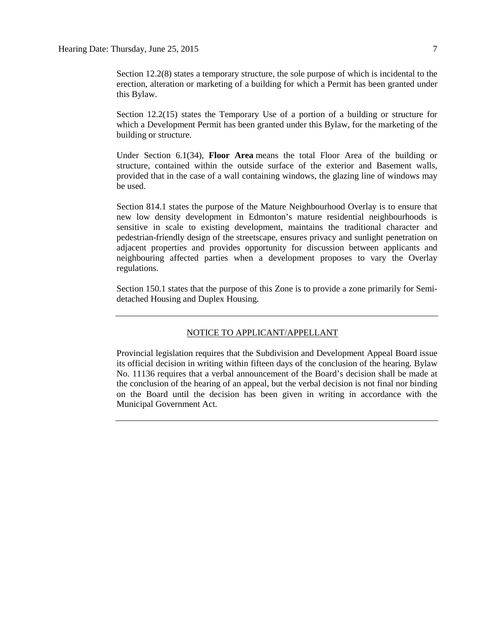Section 12.2(8) states a temporary structure, the sole purpose of which is incidental to the erection, alteration or marketing of a building for which a Permit has been granted under this Bylaw.

Section 12.2(15) states the Temporary Use of a portion of a building or structure for which a Development Permit has been granted under this Bylaw, for the marketing of the building or structure.

Under Section 6.1(34), **Floor Area** means the total Floor Area of the building or structure, contained within the outside surface of the exterior and Basement walls, provided that in the case of a wall containing windows, the glazing line of windows may be used.

Section 814.1 states the purpose of the Mature Neighbourhood Overlay is to ensure that new low density development in Edmonton's mature residential neighbourhoods is sensitive in scale to existing development, maintains the traditional character and pedestrian-friendly design of the streetscape, ensures privacy and sunlight penetration on adjacent properties and provides opportunity for discussion between applicants and neighbouring affected parties when a development proposes to vary the Overlay regulations.

Section 150.1 states that the purpose of this Zone is to provide a zone primarily for Semidetached Housing and Duplex Housing.

#### NOTICE TO APPLICANT/APPELLANT

Provincial legislation requires that the Subdivision and Development Appeal Board issue its official decision in writing within fifteen days of the conclusion of the hearing. Bylaw No. 11136 requires that a verbal announcement of the Board's decision shall be made at the conclusion of the hearing of an appeal, but the verbal decision is not final nor binding on the Board until the decision has been given in writing in accordance with the Municipal Government Act.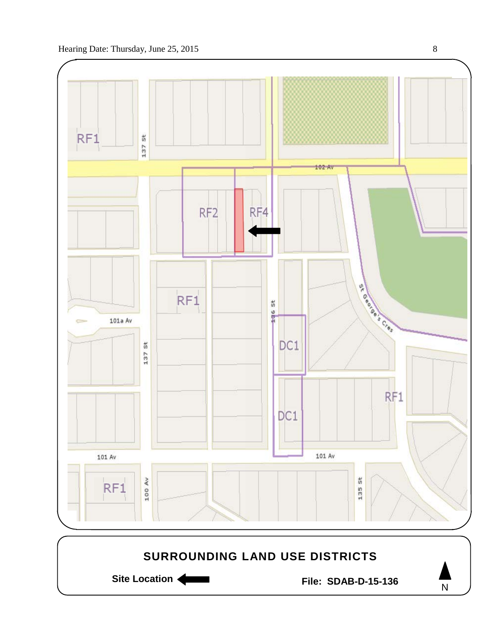